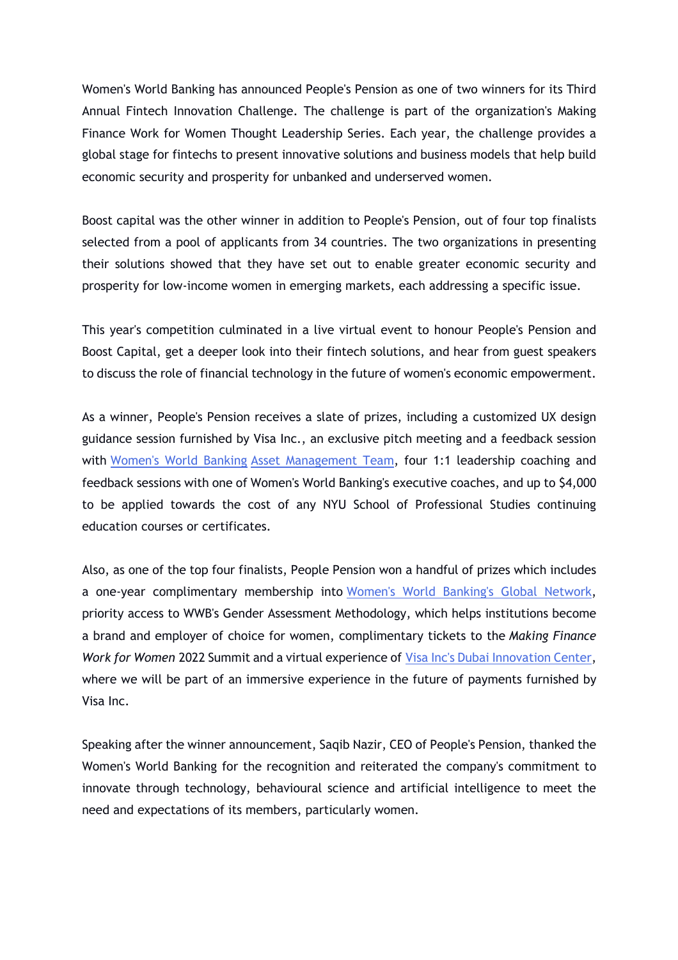Women's World Banking has announced People's Pension as one of two winners for its Third Annual Fintech Innovation Challenge. The challenge is part of the organization's Making Finance Work for Women Thought Leadership Series. Each year, the challenge provides a global stage for fintechs to present innovative solutions and business models that help build economic security and prosperity for unbanked and underserved women.

Boost capital was the other winner in addition to People's Pension, out of four top finalists selected from a pool of applicants from 34 countries. The two organizations in presenting their solutions showed that they have set out to enable greater economic security and prosperity for low-income women in emerging markets, each addressing a specific issue.

This year's competition culminated in a live virtual event to honour People's Pension and Boost Capital, get a deeper look into their fintech solutions, and hear from guest speakers to discuss the role of financial technology in the future of women's economic empowerment.

As a winner, People's Pension receives a slate of prizes, including a customized UX design guidance session furnished by Visa Inc., an exclusive pitch meeting and a feedback session with Women's World Banking Asset Management Team, four 1:1 leadership coaching and feedback sessions with one of Women's World Banking's executive coaches, and up to \$4,000 to be applied towards the cost of any NYU School of Professional Studies continuing education courses or certificates.

Also, as one of the top four finalists, People Pension won a handful of prizes which includes a one-year complimentary membership into Women's World Banking's Global Network, priority access to WWB's Gender Assessment Methodology, which helps institutions become a brand and employer of choice for women, complimentary tickets to the *Making Finance Work for Women* 2022 Summit and a virtual experience of Visa Inc's Dubai Innovation Center, where we will be part of an immersive experience in the future of payments furnished by Visa Inc.

Speaking after the winner announcement, Saqib Nazir, CEO of People's Pension, thanked the Women's World Banking for the recognition and reiterated the company's commitment to innovate through technology, behavioural science and artificial intelligence to meet the need and expectations of its members, particularly women.